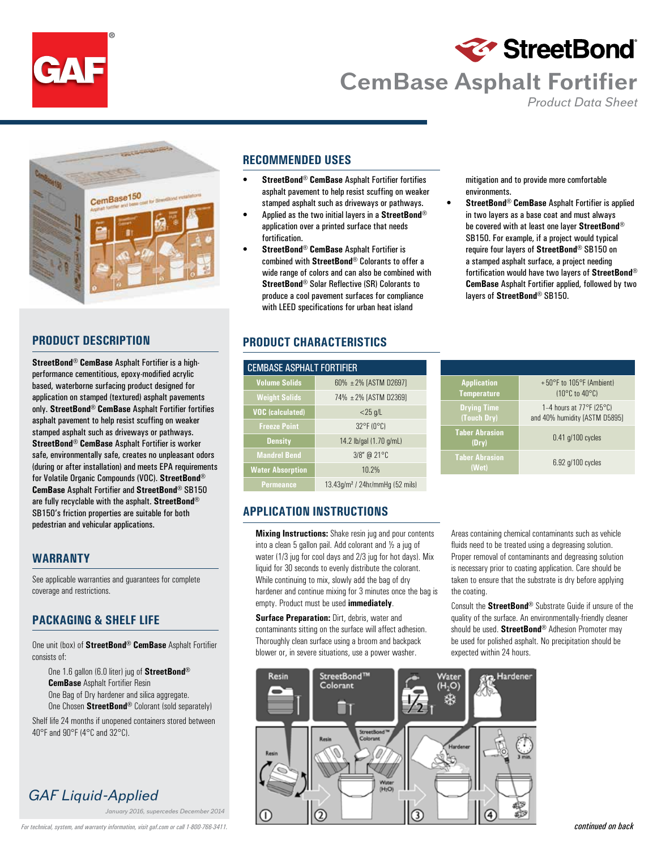



# **CemBase Asphalt Fortifier**

 *Product Data Sheet*



## **PRODUCT DESCRIPTION**

**StreetBond**® **CemBase** Asphalt Fortifier is a highperformance cementitious, epoxy-modified acrylic based, waterborne surfacing product designed for application on stamped (textured) asphalt pavements only. **StreetBond**® **CemBase** Asphalt Fortifier fortifies asphalt pavement to help resist scuffing on weaker stamped asphalt such as driveways or pathways. **StreetBond**® **CemBase** Asphalt Fortifier is worker safe, environmentally safe, creates no unpleasant odors (during or after installation) and meets EPA requirements for Volatile Organic Compounds (VOC). **StreetBond**® **CemBase** Asphalt Fortifier and **StreetBond**® SB150 are fully recyclable with the asphalt. **StreetBond**® SB150's friction properties are suitable for both pedestrian and vehicular applications.

#### **WARRANTY**

See applicable warranties and guarantees for complete coverage and restrictions.

### **PACKAGING & SHELF LIFE**

One unit (box) of **StreetBond**® **CemBase** Asphalt Fortifier consists of:

One 1.6 gallon (6.0 liter) jug of **StreetBond**® **CemBase** Asphalt Fortifier Resin One Bag of Dry hardener and silica aggregate. One Chosen **StreetBond**® Colorant (sold separately)

Shelf life 24 months if unopened containers stored between 40°F and 90°F (4°C and 32°C).

# *GAF Liquid-Applied*

*January 2016, supercedes December 2014*

### **RECOMMENDED USES**

- **StreetBond**® **CemBase** Asphalt Fortifier fortifies asphalt pavement to help resist scuffing on weaker stamped asphalt such as driveways or pathways.
- Applied as the two initial layers in a **StreetBond**® application over a printed surface that needs fortification.
- **StreetBond**® **CemBase** Asphalt Fortifier is combined with **StreetBond**® Colorants to offer a wide range of colors and can also be combined with **StreetBond**® Solar Reflective (SR) Colorants to produce a cool pavement surfaces for compliance with LEED specifications for urban heat island

## **PRODUCT CHARACTERISTICS**

| <b>CEMBASE ASPHALT FORTIFIER</b> |                                                |  |  |  |  |  |
|----------------------------------|------------------------------------------------|--|--|--|--|--|
| <b>Volume Solids</b>             | $60\% + 2\%$ [ASTM D2697]                      |  |  |  |  |  |
| <b>Weight Solids</b>             | 74% ± 2% [ASTM D2369]                          |  |  |  |  |  |
| <b>VOC</b> (calculated)          | $<$ 25 g/L                                     |  |  |  |  |  |
| <b>Freeze Point</b>              | 32°F (0°C)                                     |  |  |  |  |  |
| <b>Density</b>                   | 14.2 lb/gal (1.70 g/mL)                        |  |  |  |  |  |
| <b>Mandrel Bend</b>              | $3/8''$ @ 21°C                                 |  |  |  |  |  |
| <b>Water Absorption</b>          | 10.2%                                          |  |  |  |  |  |
| <b>Permeance</b>                 | $13.43$ g/m <sup>2</sup> / 24hr/mmHg (52 mils) |  |  |  |  |  |

mitigation and to provide more comfortable environments.

• **StreetBond**® **CemBase** Asphalt Fortifier is applied in two layers as a base coat and must always be covered with at least one layer **StreetBond**® SB150. For example, if a project would typical require four layers of **StreetBond**® SB150 on a stamped asphalt surface, a project needing fortification would have two layers of **StreetBond**® **CemBase** Asphalt Fortifier applied, followed by two layers of **StreetBond**® SB150.

| <b>Application</b><br><b>Temperature</b> | $+50^{\circ}$ F to 105°F (Ambient)<br>$(10^{\circ}$ C to $40^{\circ}$ C)       |  |  |  |
|------------------------------------------|--------------------------------------------------------------------------------|--|--|--|
| <b>Drying Time</b><br>(Touch Dry)        | 1–4 hours at $77^{\circ}$ F (25 $^{\circ}$ C)<br>and 40% humidity [ASTM D5895] |  |  |  |
| <b>Taber Abrasion</b><br>(Dry)           | $0.41$ g/100 cycles                                                            |  |  |  |
| <b>Taber Abrasion</b><br>(Wet)           | 6.92 g/100 cycles                                                              |  |  |  |

## **APPLICATION INSTRUCTIONS**

**Mixing Instructions:** Shake resin jug and pour contents into a clean 5 gallon pail. Add colorant and ½ a jug of water (1/3 jug for cool days and 2/3 jug for hot days). Mix liquid for 30 seconds to evenly distribute the colorant. While continuing to mix, slowly add the bag of dry hardener and continue mixing for 3 minutes once the bag is empty. Product must be used **immediately**.

**Surface Preparation: Dirt, debris, water and** contaminants sitting on the surface will affect adhesion. Thoroughly clean surface using a broom and backpack blower or, in severe situations, use a power washer.

Areas containing chemical contaminants such as vehicle fluids need to be treated using a degreasing solution. Proper removal of contaminants and degreasing solution is necessary prior to coating application. Care should be taken to ensure that the substrate is dry before applying the coating.

Consult the **StreetBond**® Substrate Guide if unsure of the quality of the surface. An environmentally-friendly cleaner should be used. **StreetBond**® Adhesion Promoter may be used for polished asphalt. No precipitation should be expected within 24 hours.